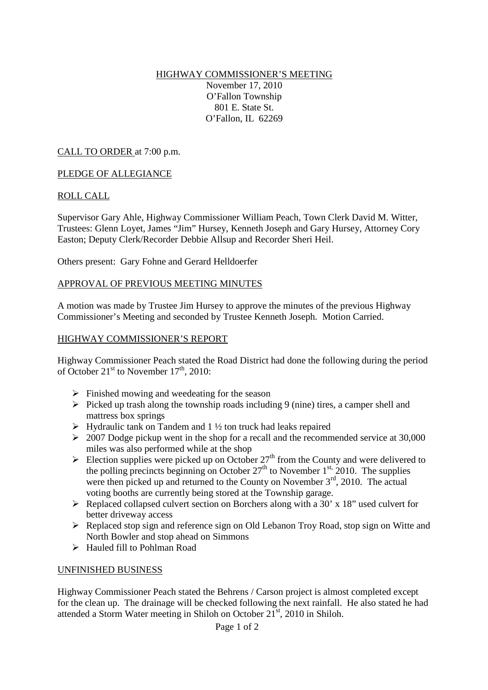## HIGHWAY COMMISSIONER'S MEETING November 17, 2010 O'Fallon Township 801 E. State St. O'Fallon, IL 62269

CALL TO ORDER at 7:00 p.m.

### PLEDGE OF ALLEGIANCE

### ROLL CALL

Supervisor Gary Ahle, Highway Commissioner William Peach, Town Clerk David M. Witter, Trustees: Glenn Loyet, James "Jim" Hursey, Kenneth Joseph and Gary Hursey, Attorney Cory Easton; Deputy Clerk/Recorder Debbie Allsup and Recorder Sheri Heil.

Others present: Gary Fohne and Gerard Helldoerfer

### APPROVAL OF PREVIOUS MEETING MINUTES

A motion was made by Trustee Jim Hursey to approve the minutes of the previous Highway Commissioner's Meeting and seconded by Trustee Kenneth Joseph. Motion Carried.

#### HIGHWAY COMMISSIONER'S REPORT

Highway Commissioner Peach stated the Road District had done the following during the period of October  $21<sup>st</sup>$  to November  $17<sup>th</sup>$ , 2010:

- $\triangleright$  Finished mowing and weedeating for the season
- $\triangleright$  Picked up trash along the township roads including 9 (nine) tires, a camper shell and mattress box springs
- $\triangleright$  Hydraulic tank on Tandem and 1 ½ ton truck had leaks repaired
- $\geq 2007$  Dodge pickup went in the shop for a recall and the recommended service at 30,000 miles was also performed while at the shop
- Election supplies were picked up on October  $27<sup>th</sup>$  from the County and were delivered to the polling precincts beginning on October  $27<sup>th</sup>$  to November 1<sup>st,</sup> 2010. The supplies were then picked up and returned to the County on November  $3<sup>rd</sup>$ , 2010. The actual voting booths are currently being stored at the Township garage.
- $\triangleright$  Replaced collapsed culvert section on Borchers along with a 30' x 18" used culvert for better driveway access
- Replaced stop sign and reference sign on Old Lebanon Troy Road, stop sign on Witte and North Bowler and stop ahead on Simmons
- Hauled fill to Pohlman Road

### UNFINISHED BUSINESS

Highway Commissioner Peach stated the Behrens / Carson project is almost completed except for the clean up. The drainage will be checked following the next rainfall. He also stated he had attended a Storm Water meeting in Shiloh on October 21st, 2010 in Shiloh.